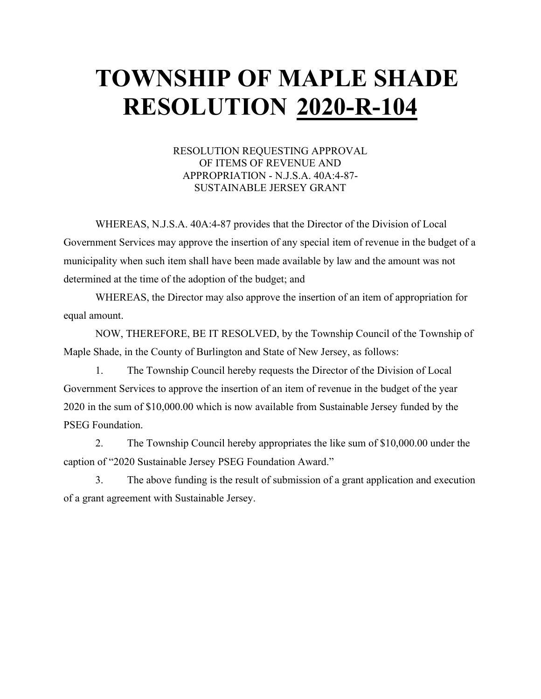## **TOWNSHIP OF MAPLE SHADE RESOLUTION 2020-R-104**

#### RESOLUTION REQUESTING APPROVAL OF ITEMS OF REVENUE AND APPROPRIATION - N.J.S.A. 40A:4-87- SUSTAINABLE JERSEY GRANT

WHEREAS, N.J.S.A. 40A:4-87 provides that the Director of the Division of Local Government Services may approve the insertion of any special item of revenue in the budget of a municipality when such item shall have been made available by law and the amount was not determined at the time of the adoption of the budget; and

WHEREAS, the Director may also approve the insertion of an item of appropriation for equal amount.

NOW, THEREFORE, BE IT RESOLVED, by the Township Council of the Township of Maple Shade, in the County of Burlington and State of New Jersey, as follows:

1. The Township Council hereby requests the Director of the Division of Local Government Services to approve the insertion of an item of revenue in the budget of the year 2020 in the sum of \$10,000.00 which is now available from Sustainable Jersey funded by the PSEG Foundation.

2. The Township Council hereby appropriates the like sum of \$10,000.00 under the caption of "2020 Sustainable Jersey PSEG Foundation Award."

3. The above funding is the result of submission of a grant application and execution of a grant agreement with Sustainable Jersey.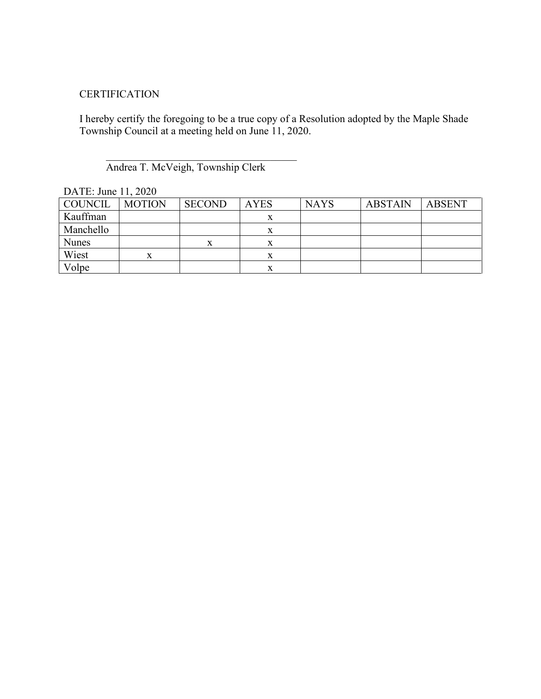#### **CERTIFICATION**

I hereby certify the foregoing to be a true copy of a Resolution adopted by the Maple Shade Township Council at a meeting held on June 11, 2020.

Andrea T. McVeigh, Township Clerk

| $L/T$ 11 $L$ , Julie 11, $L/L$ |               |               |             |             |                |               |  |
|--------------------------------|---------------|---------------|-------------|-------------|----------------|---------------|--|
| COUNCIL                        | <b>MOTION</b> | <b>SECOND</b> | <b>AYES</b> | <b>NAYS</b> | <b>ABSTAIN</b> | <b>ABSENT</b> |  |
| Kauffman                       |               |               |             |             |                |               |  |
| Manchello                      |               |               |             |             |                |               |  |
| <b>Nunes</b>                   |               | x             |             |             |                |               |  |
| Wiest                          |               |               |             |             |                |               |  |
| Volpe                          |               |               |             |             |                |               |  |

DATE: June 11, 2020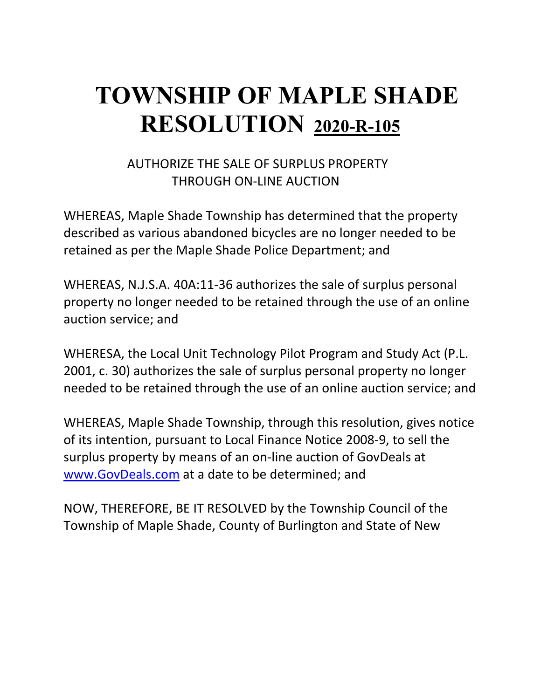# **TOWNSHIP OF MAPLE SHADE RESOLUTION 2020-R-105**

### AUTHORIZE THE SALE OF SURPLUS PROPERTY THROUGH ON-LINE AUCTION

WHEREAS, Maple Shade Township has determined that the property described as various abandoned bicycles are no longer needed to be retained as per the Maple Shade Police Department; and

WHEREAS, N.J.S.A. 40A:11-36 authorizes the sale of surplus personal property no longer needed to be retained through the use of an online auction service; and

WHERESA, the Local Unit Technology Pilot Program and Study Act (P.L. 2001, c. 30) authorizes the sale of surplus personal property no longer needed to be retained through the use of an online auction service; and

WHEREAS, Maple Shade Township, through this resolution, gives notice of its intention, pursuant to Local Finance Notice 2008-9, to sell the surplus property by means of an on-line auction of GovDeals at [www.GovDeals.com](http://www.govdeals.com/) at a date to be determined; and

NOW, THEREFORE, BE IT RESOLVED by the Township Council of the Township of Maple Shade, County of Burlington and State of New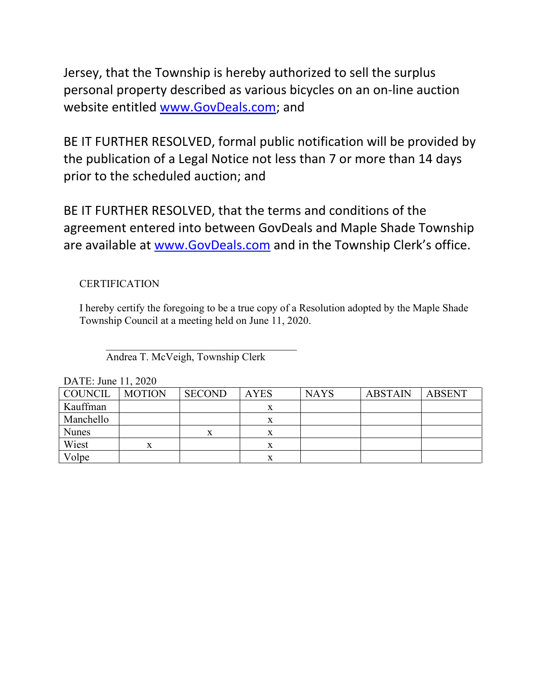Jersey, that the Township is hereby authorized to sell the surplus personal property described as various bicycles on an on-line auction website entitled [www.GovDeals.com;](http://www.govdeals.com/) and

BE IT FURTHER RESOLVED, formal public notification will be provided by the publication of a Legal Notice not less than 7 or more than 14 days prior to the scheduled auction; and

BE IT FURTHER RESOLVED, that the terms and conditions of the agreement entered into between GovDeals and Maple Shade Township are available at [www.GovDeals.com](http://www.govdeals.com/) and in the Township Clerk's office.

### **CERTIFICATION**

I hereby certify the foregoing to be a true copy of a Resolution adopted by the Maple Shade Township Council at a meeting held on June 11, 2020.

 $\overline{\mathcal{L}}$  , and the set of the set of the set of the set of the set of the set of the set of the set of the set of the set of the set of the set of the set of the set of the set of the set of the set of the set of the s Andrea T. McVeigh, Township Clerk

| $P_{11111}$ . June 11, $2020$ |               |               |             |             |                |        |  |
|-------------------------------|---------------|---------------|-------------|-------------|----------------|--------|--|
| COUNCIL                       | <b>MOTION</b> | <b>SECOND</b> | <b>AYES</b> | <b>NAYS</b> | <b>ABSTAIN</b> | ABSENT |  |
| Kauffman                      |               |               | л           |             |                |        |  |
| Manchello                     |               |               | x           |             |                |        |  |
| <b>Nunes</b>                  |               | л             | л           |             |                |        |  |
| Wiest                         | л             |               | л           |             |                |        |  |
| Volpe                         |               |               |             |             |                |        |  |

DATE:  $\text{Line } 11, 2020$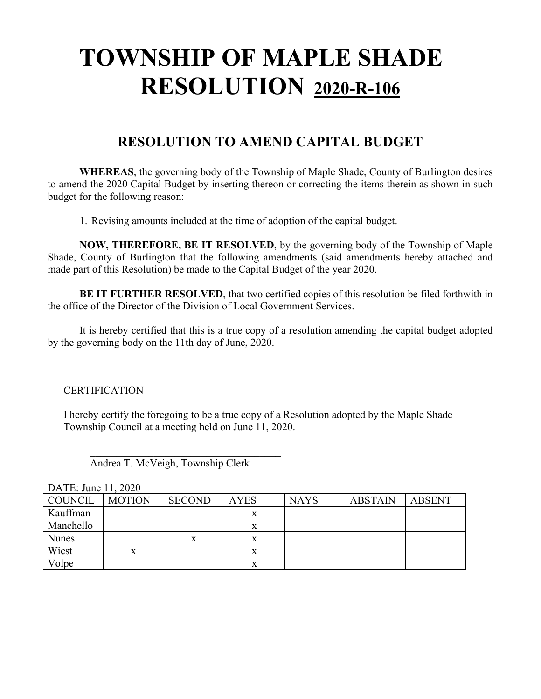# **TOWNSHIP OF MAPLE SHADE RESOLUTION 2020-R-106**

### **RESOLUTION TO AMEND CAPITAL BUDGET**

**WHEREAS**, the governing body of the Township of Maple Shade, County of Burlington desires to amend the 2020 Capital Budget by inserting thereon or correcting the items therein as shown in such budget for the following reason:

1. Revising amounts included at the time of adoption of the capital budget.

**NOW, THEREFORE, BE IT RESOLVED**, by the governing body of the Township of Maple Shade, County of Burlington that the following amendments (said amendments hereby attached and made part of this Resolution) be made to the Capital Budget of the year 2020.

**BE IT FURTHER RESOLVED**, that two certified copies of this resolution be filed forthwith in the office of the Director of the Division of Local Government Services.

It is hereby certified that this is a true copy of a resolution amending the capital budget adopted by the governing body on the 11th day of June, 2020.

#### **CERTIFICATION**

I hereby certify the foregoing to be a true copy of a Resolution adopted by the Maple Shade Township Council at a meeting held on June 11, 2020.

 $\overline{\mathcal{L}}$ Andrea T. McVeigh, Township Clerk

| $P1$ , $P2$ , $P3$ , $P4$ , $P5$ , $P6$ |               |               |             |             |                |               |  |
|-----------------------------------------|---------------|---------------|-------------|-------------|----------------|---------------|--|
| <b>COUNCIL</b>                          | <b>MOTION</b> | <b>SECOND</b> | <b>AYES</b> | <b>NAYS</b> | <b>ABSTAIN</b> | <b>ABSENT</b> |  |
| Kauffman                                |               |               |             |             |                |               |  |
| Manchello                               |               |               |             |             |                |               |  |
| <b>Nunes</b>                            |               |               |             |             |                |               |  |
| Wiest                                   |               |               |             |             |                |               |  |
| Volpe                                   |               |               |             |             |                |               |  |

DATE: June 11, 2020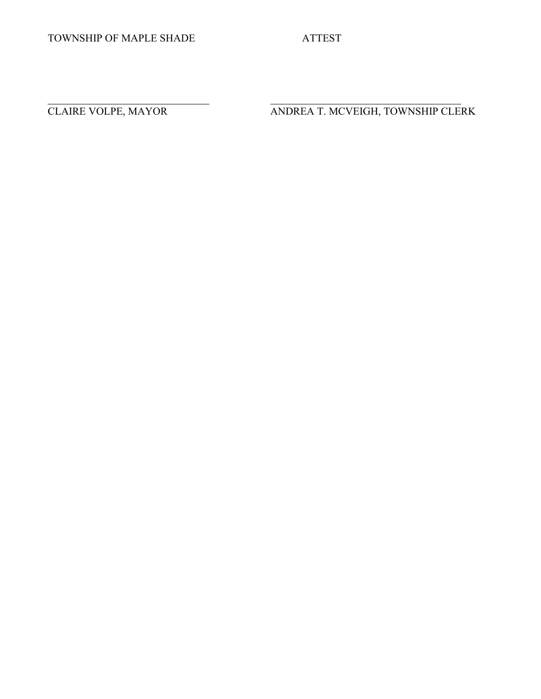$\overline{\phantom{0}}$ 

CLAIRE VOLPE, MAYOR ANDREA T. MCVEIGH, TOWNSHIP CLERK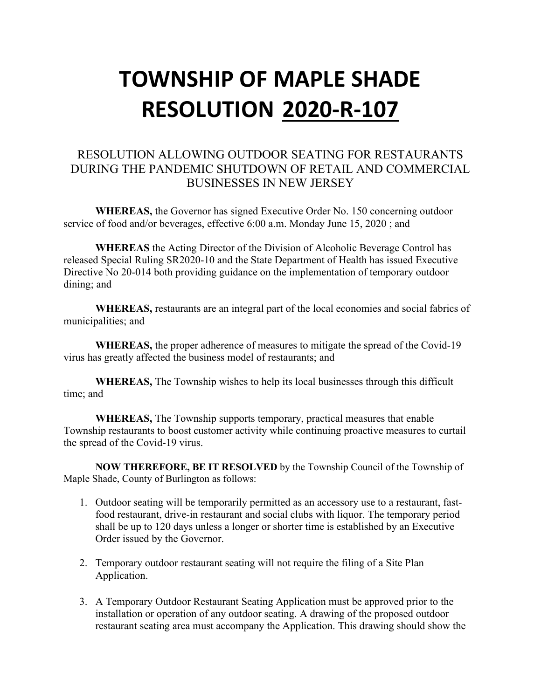# **TOWNSHIP OF MAPLE SHADE RESOLUTION 2020-R-107**

### RESOLUTION ALLOWING OUTDOOR SEATING FOR RESTAURANTS DURING THE PANDEMIC SHUTDOWN OF RETAIL AND COMMERCIAL BUSINESSES IN NEW JERSEY

**WHEREAS,** the Governor has signed Executive Order No. 150 concerning outdoor service of food and/or beverages, effective 6:00 a.m. Monday June 15, 2020 ; and

**WHEREAS** the Acting Director of the Division of Alcoholic Beverage Control has released Special Ruling SR2020-10 and the State Department of Health has issued Executive Directive No 20-014 both providing guidance on the implementation of temporary outdoor dining; and

**WHEREAS,** restaurants are an integral part of the local economies and social fabrics of municipalities; and

**WHEREAS,** the proper adherence of measures to mitigate the spread of the Covid-19 virus has greatly affected the business model of restaurants; and

**WHEREAS,** The Township wishes to help its local businesses through this difficult time; and

**WHEREAS,** The Township supports temporary, practical measures that enable Township restaurants to boost customer activity while continuing proactive measures to curtail the spread of the Covid-19 virus.

**NOW THEREFORE, BE IT RESOLVED** by the Township Council of the Township of Maple Shade, County of Burlington as follows:

- 1. Outdoor seating will be temporarily permitted as an accessory use to a restaurant, fastfood restaurant, drive-in restaurant and social clubs with liquor. The temporary period shall be up to 120 days unless a longer or shorter time is established by an Executive Order issued by the Governor.
- 2. Temporary outdoor restaurant seating will not require the filing of a Site Plan Application.
- 3. A Temporary Outdoor Restaurant Seating Application must be approved prior to the installation or operation of any outdoor seating. A drawing of the proposed outdoor restaurant seating area must accompany the Application. This drawing should show the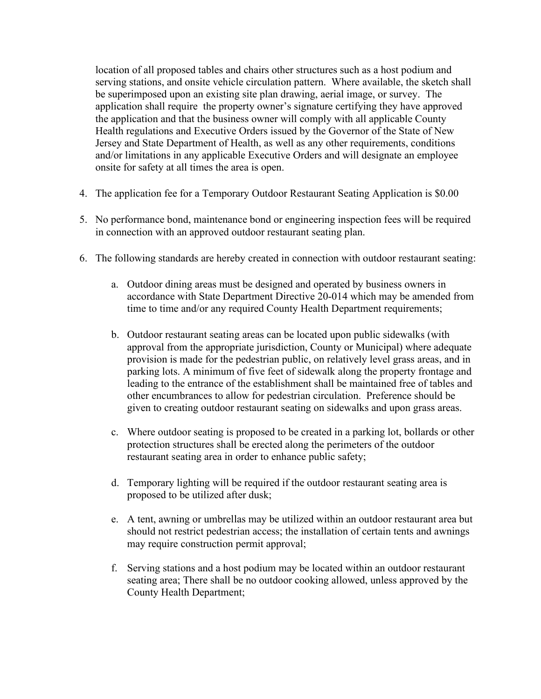location of all proposed tables and chairs other structures such as a host podium and serving stations, and onsite vehicle circulation pattern. Where available, the sketch shall be superimposed upon an existing site plan drawing, aerial image, or survey. The application shall require the property owner's signature certifying they have approved the application and that the business owner will comply with all applicable County Health regulations and Executive Orders issued by the Governor of the State of New Jersey and State Department of Health, as well as any other requirements, conditions and/or limitations in any applicable Executive Orders and will designate an employee onsite for safety at all times the area is open.

- 4. The application fee for a Temporary Outdoor Restaurant Seating Application is \$0.00
- 5. No performance bond, maintenance bond or engineering inspection fees will be required in connection with an approved outdoor restaurant seating plan.
- 6. The following standards are hereby created in connection with outdoor restaurant seating:
	- a. Outdoor dining areas must be designed and operated by business owners in accordance with State Department Directive 20-014 which may be amended from time to time and/or any required County Health Department requirements;
	- b. Outdoor restaurant seating areas can be located upon public sidewalks (with approval from the appropriate jurisdiction, County or Municipal) where adequate provision is made for the pedestrian public, on relatively level grass areas, and in parking lots. A minimum of five feet of sidewalk along the property frontage and leading to the entrance of the establishment shall be maintained free of tables and other encumbrances to allow for pedestrian circulation. Preference should be given to creating outdoor restaurant seating on sidewalks and upon grass areas.
	- c. Where outdoor seating is proposed to be created in a parking lot, bollards or other protection structures shall be erected along the perimeters of the outdoor restaurant seating area in order to enhance public safety;
	- d. Temporary lighting will be required if the outdoor restaurant seating area is proposed to be utilized after dusk;
	- e. A tent, awning or umbrellas may be utilized within an outdoor restaurant area but should not restrict pedestrian access; the installation of certain tents and awnings may require construction permit approval;
	- f. Serving stations and a host podium may be located within an outdoor restaurant seating area; There shall be no outdoor cooking allowed, unless approved by the County Health Department;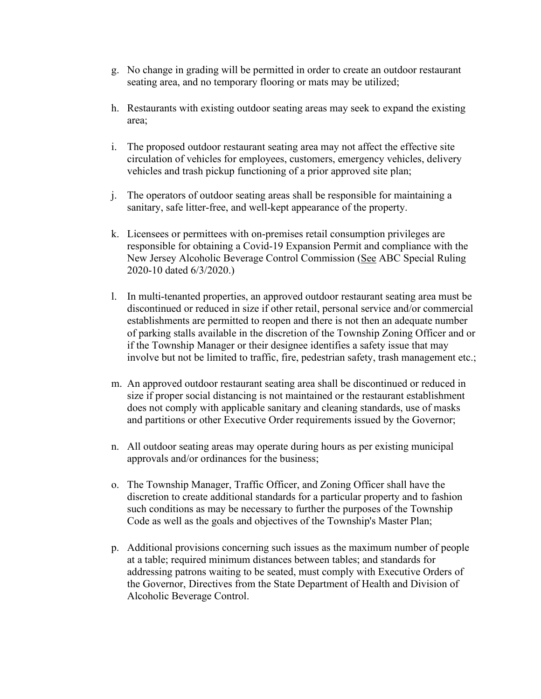- g. No change in grading will be permitted in order to create an outdoor restaurant seating area, and no temporary flooring or mats may be utilized;
- h. Restaurants with existing outdoor seating areas may seek to expand the existing area;
- i. The proposed outdoor restaurant seating area may not affect the effective site circulation of vehicles for employees, customers, emergency vehicles, delivery vehicles and trash pickup functioning of a prior approved site plan;
- j. The operators of outdoor seating areas shall be responsible for maintaining a sanitary, safe litter-free, and well-kept appearance of the property.
- k. Licensees or permittees with on-premises retail consumption privileges are responsible for obtaining a Covid-19 Expansion Permit and compliance with the New Jersey Alcoholic Beverage Control Commission (See ABC Special Ruling 2020-10 dated 6/3/2020.)
- l. In multi-tenanted properties, an approved outdoor restaurant seating area must be discontinued or reduced in size if other retail, personal service and/or commercial establishments are permitted to reopen and there is not then an adequate number of parking stalls available in the discretion of the Township Zoning Officer and or if the Township Manager or their designee identifies a safety issue that may involve but not be limited to traffic, fire, pedestrian safety, trash management etc.;
- m. An approved outdoor restaurant seating area shall be discontinued or reduced in size if proper social distancing is not maintained or the restaurant establishment does not comply with applicable sanitary and cleaning standards, use of masks and partitions or other Executive Order requirements issued by the Governor;
- n. All outdoor seating areas may operate during hours as per existing municipal approvals and/or ordinances for the business;
- o. The Township Manager, Traffic Officer, and Zoning Officer shall have the discretion to create additional standards for a particular property and to fashion such conditions as may be necessary to further the purposes of the Township Code as well as the goals and objectives of the Township's Master Plan;
- p. Additional provisions concerning such issues as the maximum number of people at a table; required minimum distances between tables; and standards for addressing patrons waiting to be seated, must comply with Executive Orders of the Governor, Directives from the State Department of Health and Division of Alcoholic Beverage Control.